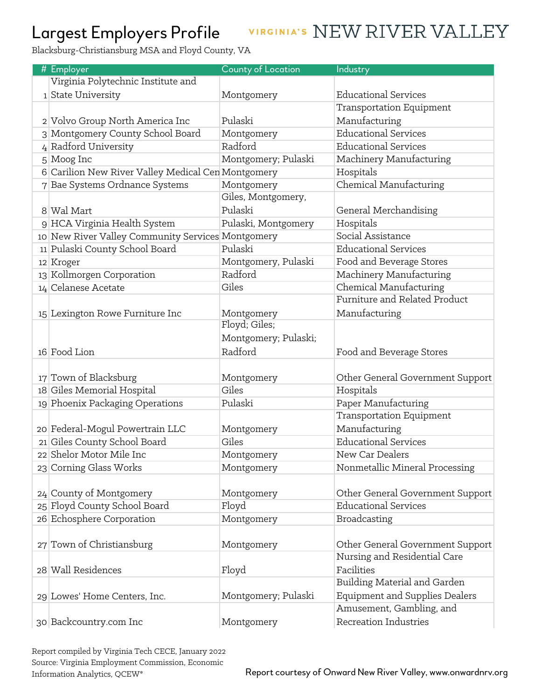## Largest Employers Profile

## VIRGINIA'S NEW RIVER VALLEY

Blacksburg-Christiansburg MSA and Floyd County, VA

| # Employer                                         | County of Location   | Industry                              |
|----------------------------------------------------|----------------------|---------------------------------------|
| Virginia Polytechnic Institute and                 |                      |                                       |
| 1 State University                                 | Montgomery           | <b>Educational Services</b>           |
|                                                    |                      | Transportation Equipment              |
| 2 Volvo Group North America Inc                    | Pulaski              | Manufacturing                         |
| 3 Montgomery County School Board                   | Montgomery           | <b>Educational Services</b>           |
| 4 Radford University                               | Radford              | <b>Educational Services</b>           |
| 5 Moog Inc                                         | Montgomery; Pulaski  | Machinery Manufacturing               |
| 6 Carilion New River Valley Medical Cen Montgomery |                      | Hospitals                             |
| 7 Bae Systems Ordnance Systems                     | Montgomery           | Chemical Manufacturing                |
|                                                    | Giles, Montgomery,   |                                       |
| 8 Wal Mart                                         | Pulaski              | General Merchandising                 |
| 9 HCA Virginia Health System                       | Pulaski, Montgomery  | Hospitals                             |
| 10 New River Valley Community Services Montgomery  |                      | Social Assistance                     |
| 11 Pulaski County School Board                     | Pulaski              | <b>Educational Services</b>           |
| 12 Kroger                                          | Montgomery, Pulaski  | Food and Beverage Stores              |
| 13 Kollmorgen Corporation                          | Radford              | Machinery Manufacturing               |
| 14 Celanese Acetate                                | Giles                | Chemical Manufacturing                |
|                                                    |                      | Furniture and Related Product         |
| 15 Lexington Rowe Furniture Inc                    | Montgomery           | Manufacturing                         |
|                                                    | Floyd; Giles;        |                                       |
|                                                    | Montgomery; Pulaski; |                                       |
| 16 Food Lion                                       | Radford              | Food and Beverage Stores              |
|                                                    |                      |                                       |
| 17 Town of Blacksburg                              | Montgomery           | Other General Government Support      |
| 18 Giles Memorial Hospital                         | Giles                | Hospitals                             |
| 19 Phoenix Packaging Operations                    | Pulaski              | Paper Manufacturing                   |
|                                                    |                      | Transportation Equipment              |
| 20 Federal-Mogul Powertrain LLC                    | Montgomery           | Manufacturing                         |
| 21 Giles County School Board                       | Giles                | <b>Educational Services</b>           |
| 22 Shelor Motor Mile Inc                           | Montgomery           | New Car Dealers                       |
| 23 Corning Glass Works                             | Montgomery           | Nonmetallic Mineral Processing        |
|                                                    |                      |                                       |
| $24$ County of Montgomery                          | Montgomery           | Other General Government Support      |
| 25 Floyd County School Board                       | Floyd                | <b>Educational Services</b>           |
| 26 Echosphere Corporation                          | Montgomery           | Broadcasting                          |
|                                                    |                      |                                       |
| 27 Town of Christiansburg                          | Montgomery           | Other General Government Support      |
|                                                    |                      | Nursing and Residential Care          |
| 28 Wall Residences                                 | Floyd                | Facilities                            |
|                                                    |                      | Building Material and Garden          |
| 29 Lowes' Home Centers, Inc.                       | Montgomery; Pulaski  | <b>Equipment and Supplies Dealers</b> |
|                                                    |                      | Amusement, Gambling, and              |
| 30 Backcountry.com Inc                             | Montgomery           | Recreation Industries                 |

Report compiled by Virginia Tech CECE, January 2022 Source: Virginia Employment Commission, Economic